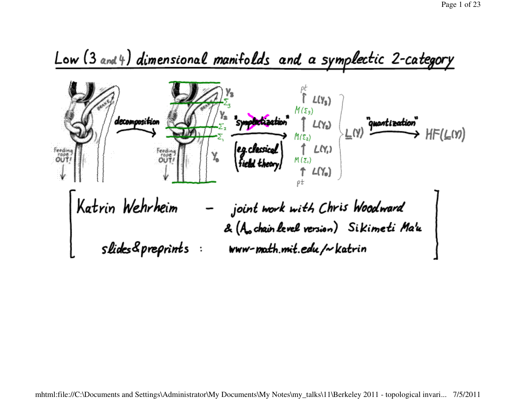## Low (3 and 4) dimensional manifolds and a symplectic 2-category

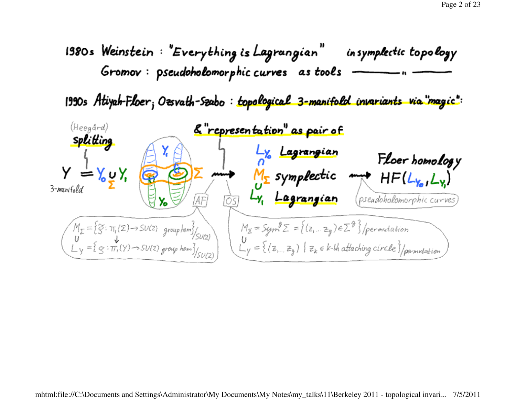

1990s Atiyah-Floer; Ozsvath-Szabo : topological 3-manifold invariants via "magic":

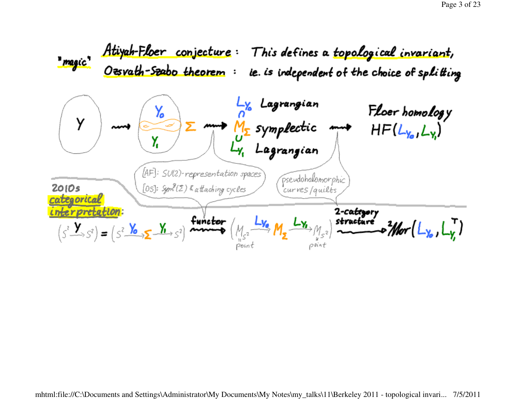Atiyah-Floer conjecture: This defines a topological invariant,<br>Oesvath-Szabo theorem: ie. is independent of the choice of splitting " magic" agrangian Floer homology<br>HF(L<sub>Yol</sub>L<sub>Y</sub>) Υ.  $\Sigma$  mm  $M_{\Sigma}$  symplectic mm Ÿ Y, [AF]: SU(2)-representation spaces pseudoholomorphic [05]: Sym<sup>9</sup>(2) & attaching cycles  $2010s$ curves/quilts categorical nterpretation: 2-category<br>stracture  $(s^2 \rightarrow s^2) = (s^2 \rightarrow s^2)$  functor r<sup>é</sup> a <sup>2</sup>Nor Poin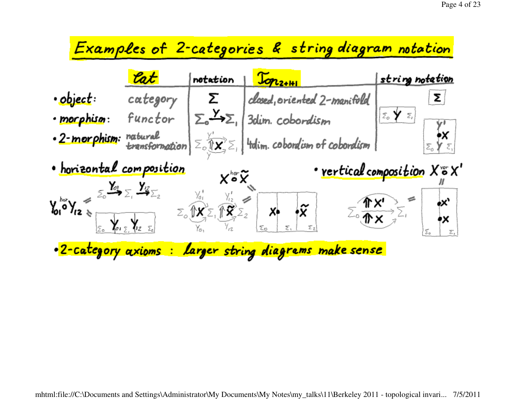## Examples of 2-categories & string diagram notation

|                                                    | lat                                                                                  | notation                                                                               | $J_{\text{OPL2+III}}$                                                                                                                                                                                                                                                                              | <u>string notetion</u>        |
|----------------------------------------------------|--------------------------------------------------------------------------------------|----------------------------------------------------------------------------------------|----------------------------------------------------------------------------------------------------------------------------------------------------------------------------------------------------------------------------------------------------------------------------------------------------|-------------------------------|
| • object :                                         | category                                                                             |                                                                                        | closed, oriented 2-manifold                                                                                                                                                                                                                                                                        | Σ.                            |
| · morphism:                                        | functor                                                                              | $\Sigma_{\circ} \rightarrow \Sigma_{\circ}$                                            | 3dim. cobordism                                                                                                                                                                                                                                                                                    |                               |
| · 2-morphism:                                      |                                                                                      |                                                                                        | $\frac{1}{2}$ transformation $\sum_{i=1}^{n} \sum_{i=1}^{n}$ $\sum_{i=1}^{n}$ $\sum_{i=1}^{n}$ $\sum_{i=1}^{n}$ $\sum_{i=1}^{n}$ $\sum_{i=1}^{n}$ $\sum_{i=1}^{n}$ $\sum_{i=1}^{n}$ $\sum_{i=1}^{n}$ $\sum_{i=1}^{n}$ $\sum_{i=1}^{n}$ $\sum_{i=1}^{n}$ $\sum_{i=1}^{n}$ $\sum_{i=1}^{n}$ $\sum_{$ |                               |
| · horizontal composition                           |                                                                                      | xఀx                                                                                    |                                                                                                                                                                                                                                                                                                    | · rertical composition X o X' |
| $\gamma_{01}^{(1)} = \sqrt{\frac{Y_{01}}{Y_{02}}}$ | $\Sigma_0$ $\bigvee_{\mathcal{Z}_1} \bigvee_{\mathcal{Z}_2} \bigvee_{\mathcal{Z}_3}$ | $\Sigma_{\circ}$ $\overrightarrow{M_{2}}\Sigma_{1}$ $\overrightarrow{M_{2}}\Sigma_{2}$ | $\mathbf{x}$                                                                                                                                                                                                                                                                                       |                               |
|                                                    |                                                                                      |                                                                                        | . 2-category axioms : larger string diagrems make sense                                                                                                                                                                                                                                            |                               |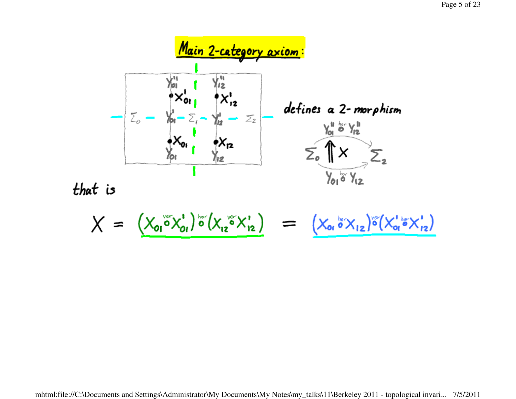



$$
X = \left(X_{01} \circ X_{01} \circ (X_{12} \circ X_{12}) = \left(X_{01} \circ X_{12} \right) \circ (X_{01} \circ X_{12})
$$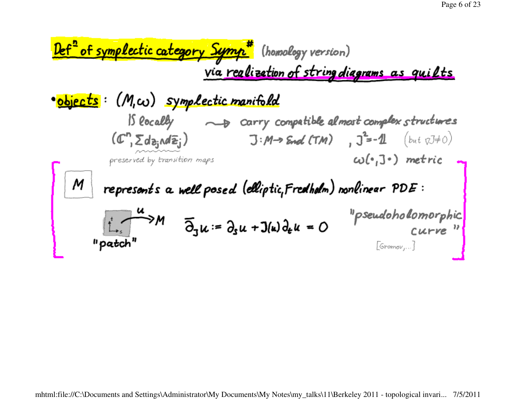| Left <sup>2</sup> of symplectic category <b>Sympl</b>                    | (homology version)                           |
|--------------------------------------------------------------------------|----------------------------------------------|
| via realization of string diagrams as quilts                             |                                              |
| 8 objects                                                                | (M, \omega) symplectic manifold              |
| 15 (locally                                                              | 3 carry compatible almost complex structures |
| (C <sup>n</sup> , $\Sigma$ d <sub>2</sub> , $\Delta E$ <sub>i</sub> )    |                                              |
| 15 (locally                                                              | 3 M → End (TM) , $J^2 = -1$                  |
| 25 (C <sup>n</sup> , $\Sigma$ d <sub>2</sub> , $\Delta E$ <sub>i</sub> ) |                                              |
| 30 (C <sup>n</sup> , $J^*$ ) metric                                      |                                              |
| 4                                                                        | 30 (C <sup>n</sup> , $J^*$ ) metric          |
| 5 (C <sup>n</sup> , $J^*$ ) matrix                                       |                                              |
| 6                                                                        | 4                                            |
| 7                                                                        | 5 (C <sup>n</sup> , $J^*$ )                  |
| 8 (C <sup>n</sup> , $J^*$ ) matrix                                       |                                              |
| 9 (C <sup>n</sup> , $J^*$ ) matrix                                       |                                              |
| 10 (C <sup>n</sup> , $J^*$ ) matrix                                      |                                              |
| 11 (C <sup>n</sup> , $J^*$ ) matrix                                      |                                              |
| 12 (C <sup>n</sup> , $J^*$ ) matrix                                      |                                              |
| 13 (C <sup>n</sup> , $J^*$ ) matrix                                      |                                              |
| 14 (C <sup>n</sup> , $J^*$ ) matrix                                      |                                              |
| 15 (C <sup>n</sup> , $J^*$ ) matrix                                      |                                              |
| 16 (C <sup>n</sup> , $J^*$ ) matrix                                      |                                              |
| 17 (C <sup>n</sup> , $J^*$ ) matrix                                      |                                              |
| 18 (C <sup>n</sup> , $J^*$ ) matrix                                      |                                              |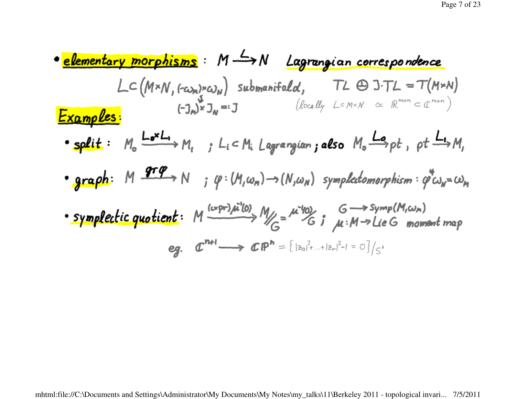\n- \n**elementary morphisms**: 
$$
M \rightarrow N
$$
 Lagrangian correspondence\n  $\angle C(M*N, f\circ c_{\lambda N}) \circ c_{\lambda N}$ \n  $Submanifold, T\angle \oplus J\cap \angle T\angle = T(M*N)$ \n
\n- \n**Examples**:  $(-3_{\lambda})^{k} J_{N} = 3$ \n  $(\angle c_{\lambda N} U_{\lambda} \vee \angle T\cap N \vee \triangle T\cap N \vee T\cap N \vee T\cap N \vee T\cap N \vee T\cap N \vee T\cap N \cap N)$ \n
\n- \n**split**:  $M_{0} \xrightarrow{I\bullet N} J_{1} \Rightarrow L_{1} \subset M_{1} \text{ Lagrangian } \text{ also } M_{0} \xrightarrow{I\bullet} \text{pt}, \text{pt} \xrightarrow{I\bullet} M,$ \n
\n- \n**graph**:  $M \xrightarrow{q\bullet P} N \Rightarrow (P: (M, \omega_{\lambda N}) \rightarrow (N, \omega_{\lambda N}) \text{ symplectomorphism } \varphi^{*} \omega_{\lambda N} = \omega_{\lambda N}$ \n
\n- \n**symplectic quotient**:  $M \xrightarrow{(L \circ P \circ M \circ \lambda N)} M \xrightarrow{L \circ M \circ M} G \xrightarrow{L \circ M \circ M} M \xrightarrow{L \circ M} M \xrightarrow{L \circ M} M \xrightarrow{L \circ M} M \xrightarrow{L \circ M} M \xrightarrow{L \circ M} M \xrightarrow{L \circ M} M \xrightarrow{L \circ M} M \xrightarrow{L \circ M} M \xrightarrow{L \circ M} M \xrightarrow{L \circ M} M \xrightarrow{L \circ M} M \xrightarrow{L \circ M} M \xrightarrow{L \circ M} M \xrightarrow{L \circ M} M \xrightarrow{L \circ M} M \xrightarrow{L \circ M} M \xrightarrow{L \circ M} M \xrightarrow{L \circ M} M \xrightarrow{L \circ M} M \xrightarrow{L \circ M} M \xrightarrow{L \circ M} M \xrightarrow{L \circ M} M \xrightarrow{L \circ M} M \xrightarrow{L \circ M} M \xrightarrow{L \circ M} M \xrightarrow{L \circ M} M \xrightarrow{L \circ M} M \xrightarrow{L \circ M} M \xrightarrow{L \circ M} M \xrightarrow{L$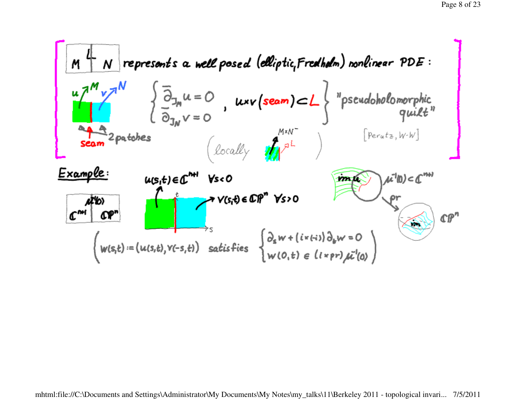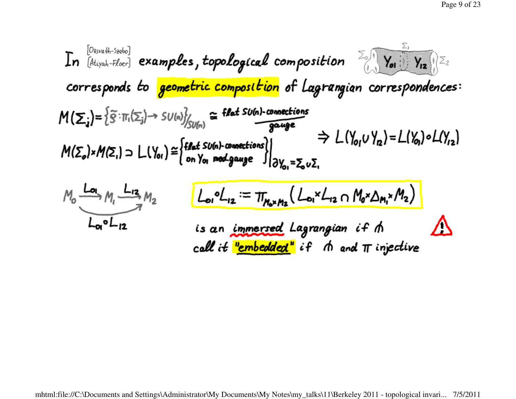In 
$$
[D_{\text{div},\alpha h\text{-}52\text{do}}]
$$
 examples, topological composition\n $\sum_{(a,b,c,d)\in\mathbb{Z}} \sum_{\text{corresponds to geometric composition}} \sum_{(a,b,c,d)\in\mathbb{Z}} \sum_{\text{correspondences}}$ \n $M(\Sigma_i) = \sum_{\alpha} \sum_{\Pi_i} (\Sigma_i) \rightarrow SU(a)_{\text{symmetric composition}}^2$ \n $M(\Sigma_i) = \sum_{\alpha} \sum_{\Pi_i} (\Sigma_i) \rightarrow SU(a)_{\text{symmetric composition}}^2$ \n $M(\Sigma_0) \times M(\Sigma_1) \supset L(Y_{01}) \cong \begin{cases} \text{flat sub-connections} \\ \text{on } Y_{01} \text{ mod gauge} \end{cases} \Rightarrow L(Y_{01} \vee Y_{12}) = L(Y_{01}) \circ L(Y_{12})$ \n $M_0 \xrightarrow{L_{12}} M_2 \qquad L_0 \circ L_{12} := \pi_{N_0 \times N_1} (L_0 \times L_{12} \cap M_0 \times \Delta_{M_1} \times M_2)$ \n $L_0 \circ L_{12}$ \n $L_1 \qquad L_2 \qquad L_3 \qquad L_4 \qquad L_5 \qquad L_6 \qquad L_7 \qquad L_8 \qquad L_9 \qquad L_9 \qquad L_9 \qquad L_1 \qquad L_1 \qquad L_2 \qquad L_1 \qquad L_2 \qquad L_3 \qquad L_3 \qquad L_4 \qquad L_4 \qquad L_5 \qquad L_6 \qquad L_7 \qquad L_7 \qquad L_8 \qquad L_9 \qquad L_9 \qquad L_9 \qquad L_1 \qquad L_1 \qquad L_2 \qquad L_1 \qquad L_2 \qquad L_2 \qquad L_3 \qquad L_3 \qquad L_4 \qquad L_4 \qquad L_5 \qquad L_6 \qquad L_7 \qquad L_7 \qquad L_8 \qquad L_8 \qquad L_9 \qquad L_9 \qquad L_9 \qquad L_9 \qquad L_1 \qquad L_1 \qquad L_1 \qquad L_2 \qquad L_1 \qquad L_2 \qquad L_2 \qquad L_2 \qquad L_3 \qquad L_3 \qquad L_4 \qquad L_4 \q$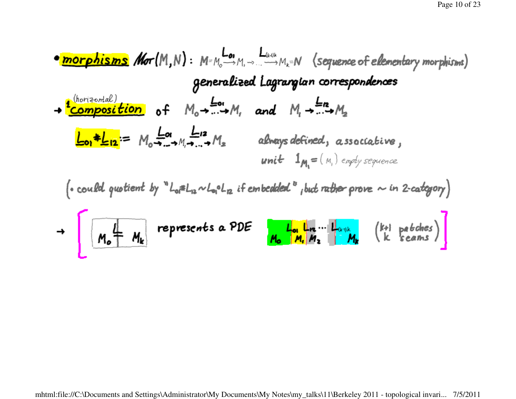$$
\frac{\text{normal}}{\text{normal}}\text{corlangle}\text{max}\right) \text{ for } (M,N): M = M_0 \longrightarrow M_1 \longrightarrow M_2 = N \text{ (sequence of elementary morphisms)}
$$
\n
$$
\text{generalized Lagrangian corresponds}
$$
\n
$$
\frac{\text{normal}}{\text{composition of}} \text{ of } M_0 \longrightarrow \dots \longrightarrow M_r \text{ and } M_1 \longrightarrow \dots \longrightarrow M_2
$$
\n
$$
\frac{\text{L}_{\text{on}} \# \text{L}_{12}}{\text{L}_{\text{on}} \# \text{L}_{12}} = M_0 \longrightarrow M_1 \longrightarrow \dots \longrightarrow M_s \text{ always defined, associative,}
$$
\n
$$
\text{unit } 1_{M_1} = (M_1) \text{ empty sequence}
$$
\n
$$
\text{could quotient by ``L_0#L_12 \sim L_00 L_12 if embedded ``plot rather prove $\sim in 2-categorical]}
$$
\n
$$
\frac{M_0}{M_0} = M_1
$$
\n
$$
\frac{M_0}{M_0} = M_2
$$
\n
$$
\frac{M_0}{M_0} = M_1
$$
\n
$$
\frac{M_0}{M_0} = M_2
$$
\n
$$
\frac{M_0}{M_0} = M_1
$$
\n
$$
\frac{M_0}{M_0} = M_2
$$
\n
$$
\frac{M_0}{M_0} = M_1
$$
\n
$$
\frac{M_0}{M_1} = M_2
$$
\n
$$
\frac{M_0}{M_1} = M_2
$$
\n
$$
\frac{M_0}{M_1} = M_2
$$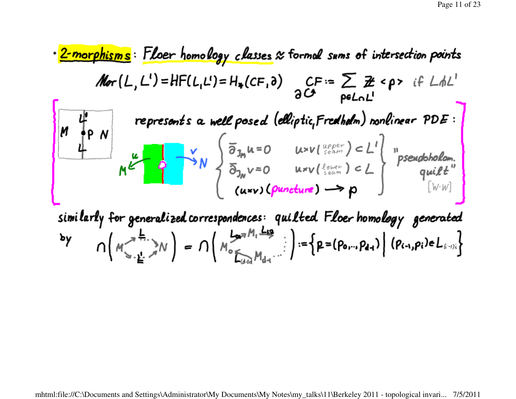$$
\frac{2\text{-morphisms}}{M\sigma(L,L')=\text{HFLL}_{L'}L'=\text{H}_{*}(CF, \delta) \quad CF:=\sum_{p\in L_{n}L'}\exists \text{ for } p\text{ in the section points}
$$
\n
$$
M\sigma(L,L')=\text{HFLL}_{L'}L'=\text{H}_{*}(CF, \delta) \quad CF:=\sum_{p\in L_{n}L'}\exists \text{ for } p\text{ in the case of } \text{L} \text{ in the case of } \text{L} \text{ in the case of } \text{L} \text{ in the case of } \text{L} \text{ in the case of } \text{L} \text{ in the case of } \text{L} \text{ in the case of } \text{L} \text{ in the case of } \text{L} \text{ in the case of } \text{L} \text{ in the case of } \text{L} \text{ in the case of } \text{L} \text{ in the case of } \text{L} \text{ in the case of } \text{L} \text{ in the case of } \text{L} \text{ in the case of } \text{L} \text{ in the case of } \text{L} \text{ in the case of } \text{L} \text{ in the case of } \text{L} \text{ in the case of } \text{L} \text{ in the case of } \text{L} \text{ in the case of } \text{L} \text{ in the case of } \text{L} \text{ in the case of } \text{L} \text{ in the case of } \text{L} \text{ in the case of } \text{L} \text{ in the case of } \text{L} \text{ in the case of } \text{L} \text{ in the case of } \text{L} \text{ in the case of } \text{L} \text{ in the case of } \text{L} \text{ in the case of } \text{L} \text{ in the case of } \text{L} \text{ in the case of } \text{L} \text{ in the case of } \text{L} \text{ in the case of } \text{L} \text{ in the case of } \text{L} \text{ in the case of } \text{L} \text{ in the case of } \text{L} \text{ in the case of } \text{L} \text{ in the case of } \text{L} \text{ in the case of } \text{L} \text{ in the case of } \text{L} \text{ in the case of } \text{L} \text{ in the case of } \text{L} \text{ in the case of } \text{L} \text{ in the case of } \text{L} \text{ in the case of } \text{L} \text{ in the case of } \text{L} \text
$$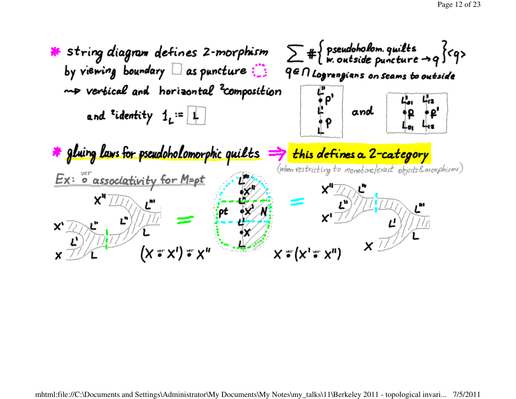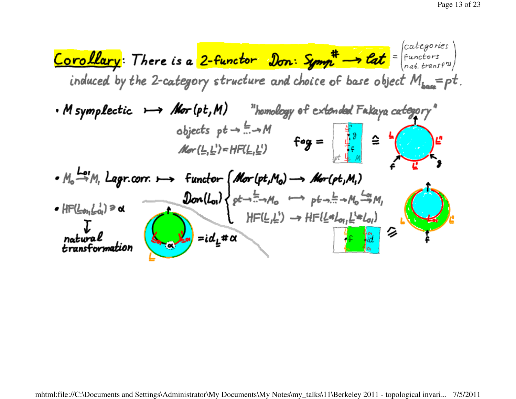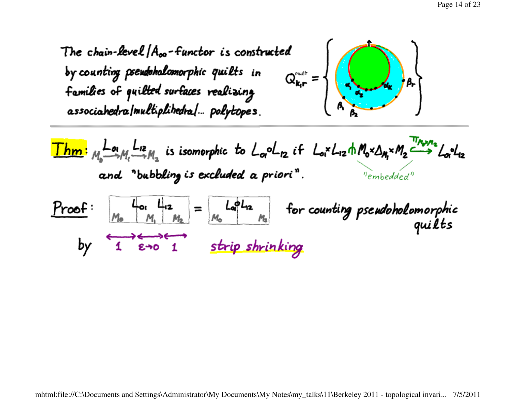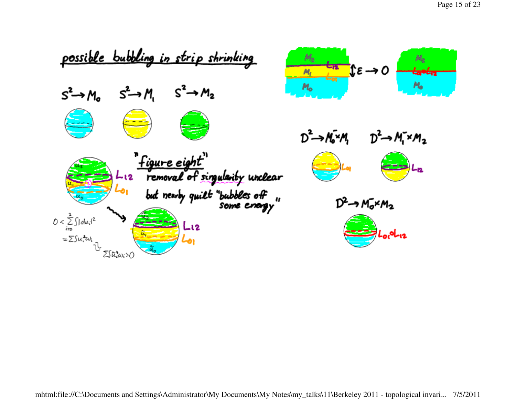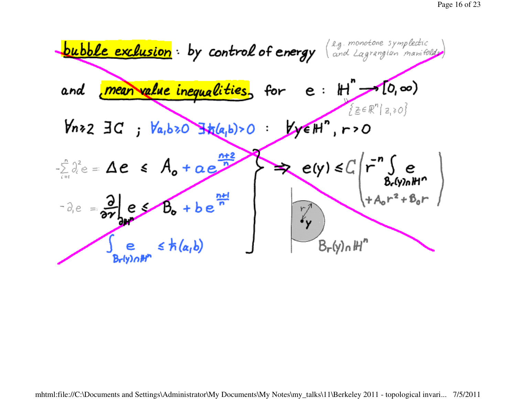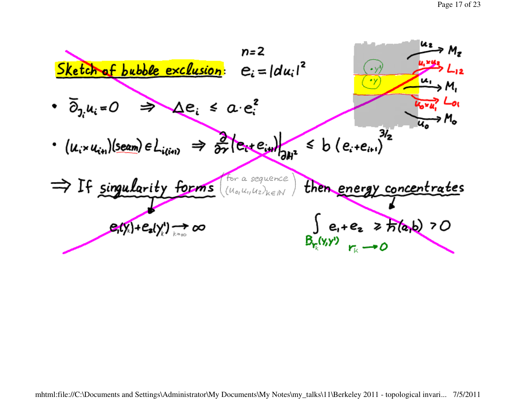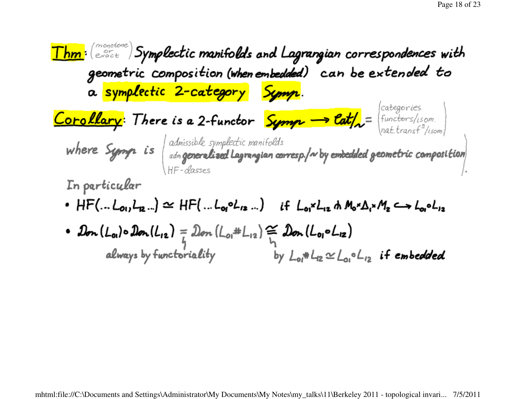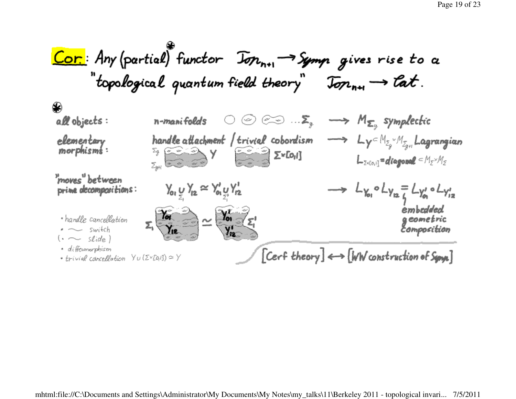Cor: Any (partial) functor  $\overline{J_{\sigma n_{n+1}}}\rightarrow \overline{S_{\sigma n_{m+1}}}$  gives rise to a "topological quantum field theory"  $\overline{\mathrm{J}\sigma n_{n+1}} \longrightarrow \mathcal{C}at$ .

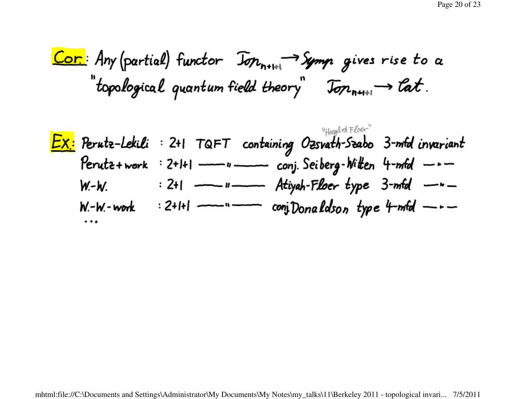Cor: Any (partial) functor 
$$
\overline{J_{\sigma n_{n+1}+1}} \rightarrow \overline{S_{\sigma m_{n+1}+1}}
$$
 gives rise to a "topological quantum field theory"  $\overline{J_{\sigma n_{n+1}+1}} \rightarrow \overline{C_{\sigma}C}$ .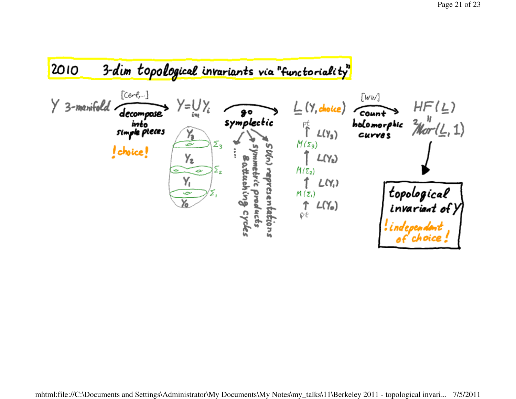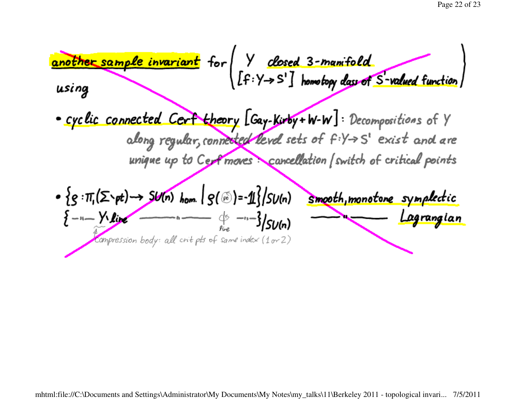another sample invariant for  $\begin{pmatrix} y & closed & 3-manifold \\ \text{If } y \rightarrow S' \end{pmatrix}$  homotopy day of S-valued function using • cyclic connected Cert theory [Gay-Kirby+W-W]: Decompositions of Y along regular, connected level sets of fiy > S' exist and are unique up to Cert moves cancellation (switch of critical points  $\cdot$  { $g:\pi(G\rightarrow pt)\rightarrow SU(n)$  hom  $|g(\mathcal{B})=1$ }/ $SU(n)$  smooth, monotone symplectic  $\{-1 - \frac{y_1}{w_1} + \frac{y_2}{w_2} + \cdots + \frac{y_n}{w_n} + \cdots + \frac{y_n}{w_n} + \cdots + \frac{y_n}{w_n}\}$  sum Lagrangian compression body: all crit pts of same index (1 or 2)